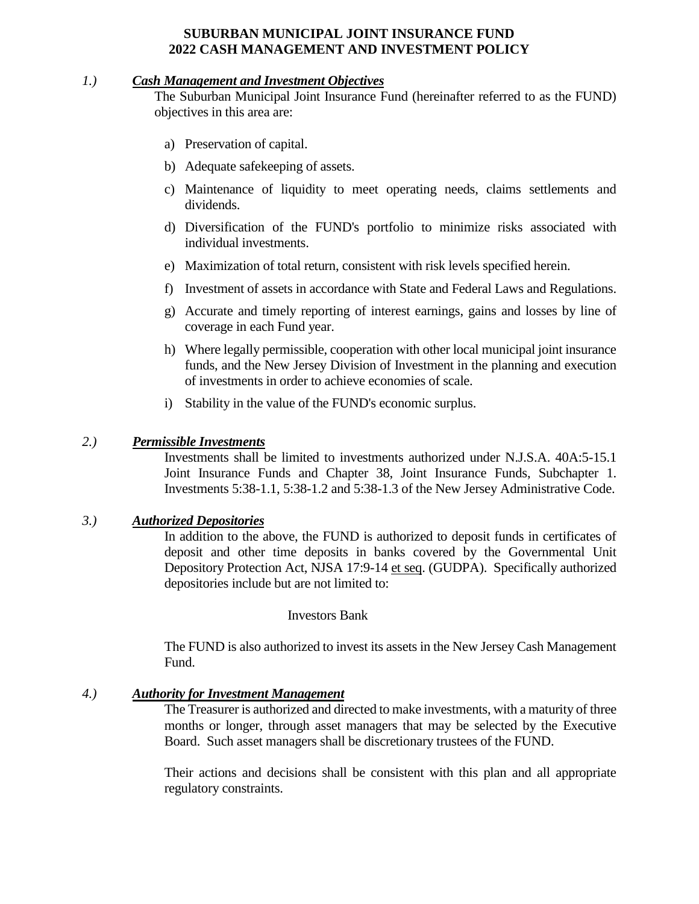## **SUBURBAN MUNICIPAL JOINT INSURANCE FUND 2022 CASH MANAGEMENT AND INVESTMENT POLICY**

### *1.) Cash Management and Investment Objectives*

The Suburban Municipal Joint Insurance Fund (hereinafter referred to as the FUND) objectives in this area are:

- a) Preservation of capital.
- b) Adequate safekeeping of assets.
- c) Maintenance of liquidity to meet operating needs, claims settlements and dividends.
- d) Diversification of the FUND's portfolio to minimize risks associated with individual investments.
- e) Maximization of total return, consistent with risk levels specified herein.
- f) Investment of assets in accordance with State and Federal Laws and Regulations.
- g) Accurate and timely reporting of interest earnings, gains and losses by line of coverage in each Fund year.
- h) Where legally permissible, cooperation with other local municipal joint insurance funds, and the New Jersey Division of Investment in the planning and execution of investments in order to achieve economies of scale.
- i) Stability in the value of the FUND's economic surplus.

#### *2.) Permissible Investments*

Investments shall be limited to investments authorized under N.J.S.A. 40A:5-15.1 Joint Insurance Funds and Chapter 38, Joint Insurance Funds, Subchapter 1. Investments 5:38-1.1, 5:38-1.2 and 5:38-1.3 of the New Jersey Administrative Code.

## *3.) Authorized Depositories*

In addition to the above, the FUND is authorized to deposit funds in certificates of deposit and other time deposits in banks covered by the Governmental Unit Depository Protection Act, NJSA 17:9-14 et seq. (GUDPA). Specifically authorized depositories include but are not limited to:

#### Investors Bank

The FUND is also authorized to invest its assets in the New Jersey Cash Management Fund.

## *4.) Authority for Investment Management*

The Treasurer is authorized and directed to make investments, with a maturity of three months or longer, through asset managers that may be selected by the Executive Board. Such asset managers shall be discretionary trustees of the FUND.

Their actions and decisions shall be consistent with this plan and all appropriate regulatory constraints.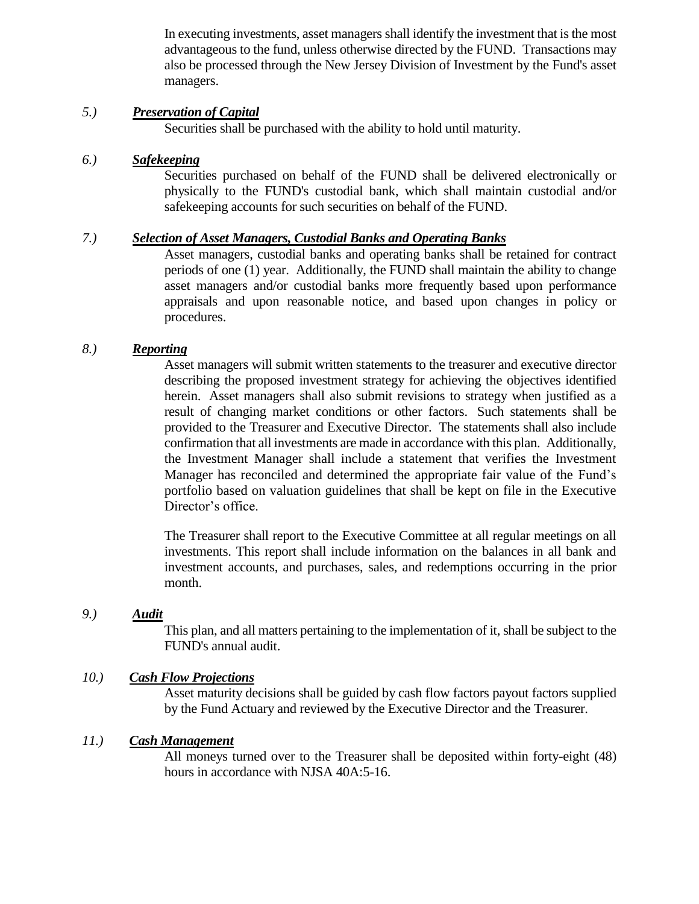In executing investments, asset managers shall identify the investment that is the most advantageous to the fund, unless otherwise directed by the FUND. Transactions may also be processed through the New Jersey Division of Investment by the Fund's asset managers.

# *5.) Preservation of Capital*

Securities shall be purchased with the ability to hold until maturity.

# *6.) Safekeeping*

Securities purchased on behalf of the FUND shall be delivered electronically or physically to the FUND's custodial bank, which shall maintain custodial and/or safekeeping accounts for such securities on behalf of the FUND.

# *7.) Selection of Asset Managers, Custodial Banks and Operating Banks*

Asset managers, custodial banks and operating banks shall be retained for contract periods of one (1) year. Additionally, the FUND shall maintain the ability to change asset managers and/or custodial banks more frequently based upon performance appraisals and upon reasonable notice, and based upon changes in policy or procedures.

## *8.) Reporting*

Asset managers will submit written statements to the treasurer and executive director describing the proposed investment strategy for achieving the objectives identified herein. Asset managers shall also submit revisions to strategy when justified as a result of changing market conditions or other factors. Such statements shall be provided to the Treasurer and Executive Director. The statements shall also include confirmation that all investments are made in accordance with this plan. Additionally, the Investment Manager shall include a statement that verifies the Investment Manager has reconciled and determined the appropriate fair value of the Fund's portfolio based on valuation guidelines that shall be kept on file in the Executive Director's office.

The Treasurer shall report to the Executive Committee at all regular meetings on all investments. This report shall include information on the balances in all bank and investment accounts, and purchases, sales, and redemptions occurring in the prior month.

## *9.) Audit*

This plan, and all matters pertaining to the implementation of it, shall be subject to the FUND's annual audit.

# *10.) Cash Flow Projections*

Asset maturity decisions shall be guided by cash flow factors payout factors supplied by the Fund Actuary and reviewed by the Executive Director and the Treasurer.

# *11.) Cash Management*

All moneys turned over to the Treasurer shall be deposited within forty-eight (48) hours in accordance with NJSA 40A:5-16.